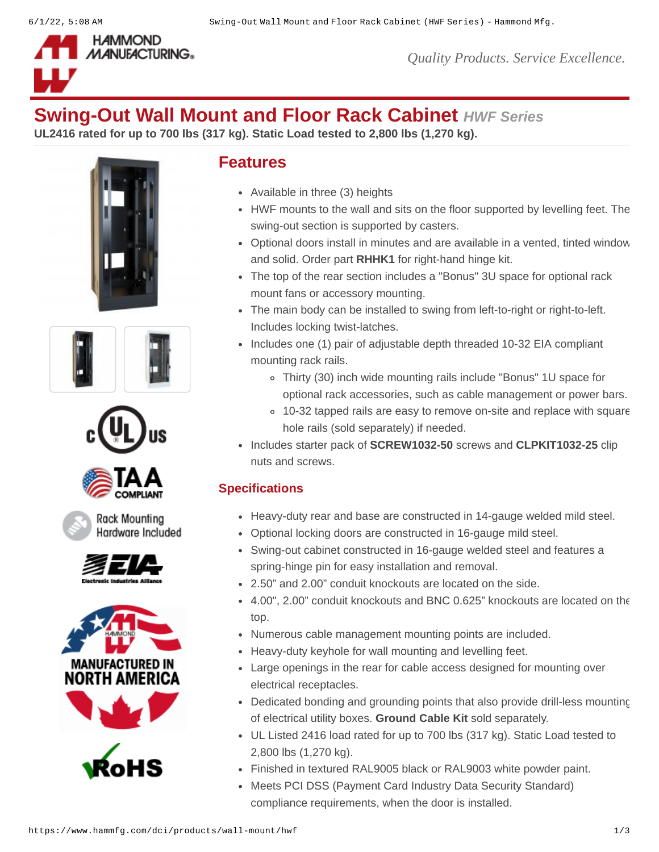

*Quality Products. Service Excellence.*

# **Swing-Out Wall Mount and Floor Rack Cabinet** *HWF Series*

**UL2416 rated for up to 700 lbs (317 kg). Static Load tested to 2,800 lbs (1,270 kg).**









Rack Mounting Hardware Included







## **Features**

- Available in three (3) heights
- HWF mounts to the wall and sits on the floor supported by levelling feet. The swing-out section is supported by casters.
- Optional doors install in minutes and are available in a vented, tinted window and solid. Order part **[RHHK1](https://www.hammfg.com/part/RHHK1)** for right-hand hinge kit.
- The top of the rear section includes a "Bonus" 3U space for optional rack mount fans or accessory mounting.
- The main body can be installed to swing from left-to-right or right-to-left. Includes locking twist-latches.
- Includes one (1) pair of adjustable depth threaded 10-32 EIA compliant mounting rack rails.
	- Thirty (30) inch wide mounting rails include "Bonus" 1U space for optional rack accessories, such as cable management or power bars.
	- 10-32 tapped rails are easy to remove on-site and replace with square hole rails (sold separately) if needed.
- Includes starter pack of **[SCREW1032-50](https://www.hammfg.com/dci/products/accessories/screw)** screws and **[CLPKIT1032-25](https://www.hammfg.com/part/CLPKIT1032-25)** clip nuts and screws.

# **Specifications**

- Heavy-duty rear and base are constructed in 14-gauge welded mild steel.
- Optional locking doors are constructed in 16-gauge mild steel.
- Swing-out cabinet constructed in 16-gauge welded steel and features a spring-hinge pin for easy installation and removal.
- 2.50" and 2.00" conduit knockouts are located on the side.
- 4.00", 2.00" conduit knockouts and BNC 0.625" knockouts are located on the top.
- Numerous cable management mounting points are included.
- Heavy-duty keyhole for wall mounting and levelling feet.
- Large openings in the rear for cable access designed for mounting over electrical receptacles.
- Dedicated bonding and grounding points that also provide drill-less mounting of electrical utility boxes. **[Ground Cable Kit](https://www.hammfg.com/product/grdkit)** sold separately.
- UL Listed 2416 load rated for up to 700 lbs (317 kg). Static Load tested to 2,800 lbs (1,270 kg).
- Finished in textured RAL9005 black or RAL9003 white powder paint.
- Meets PCI DSS (Payment Card Industry Data Security Standard) compliance requirements, when the door is installed.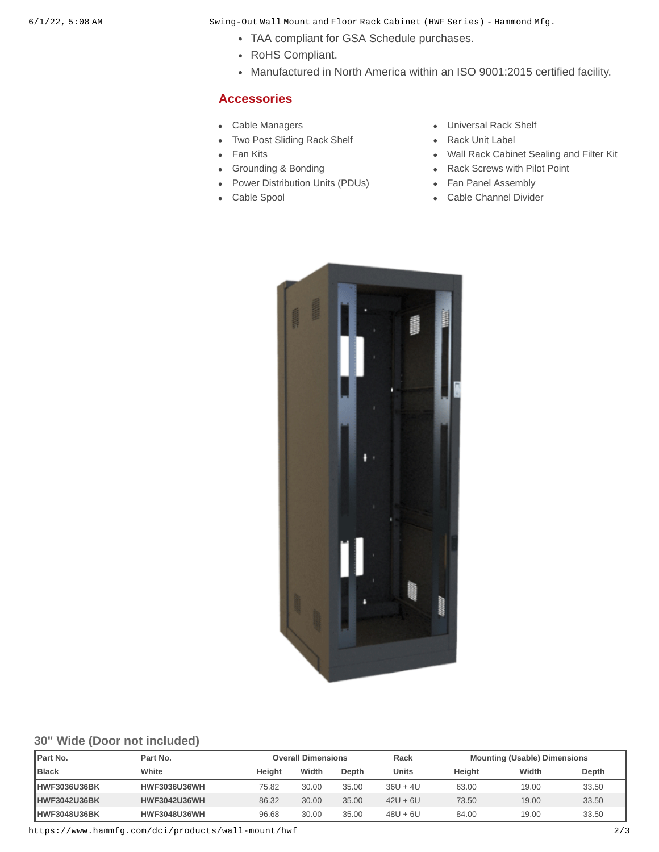6/1/22, 5:08 AM Swing-Out Wall Mount and Floor Rack Cabinet (HWF Series) - Hammond Mfg.

- TAA compliant for GSA Schedule purchases.
- RoHS Compliant.
- Manufactured in North America within an ISO 9001:2015 certified facility.

#### **Accessories**

- 
- [Two Post Sliding Rack Shelf](https://www.hammfg.com/dci/products/accessories/rsp?referer=1577&itm_type=accessory) **Contains Container Providence** [Rack Unit Label](https://www.hammfg.com/dci/products/accessories/rulbk?referer=1577&itm_type=accessory)  $\bullet$
- 
- 
- [Power Distribution Units \(PDUs\)](https://www.hammfg.com/dci/products/accessories/outlet-strips?referer=1577&itm_type=accessory) [Fan Panel Assembly](https://www.hammfg.com/dci/products/accessories/ppg?referer=1577&itm_type=accessory)
- 
- [Cable Managers](https://www.hammfg.com/dci/products/accessories/cable-management?referer=1577&itm_type=accessory) **Cable Managers Cable Managers Cable Managers Cable Managers Cable Managers** 
	-
- [Fan Kits](https://www.hammfg.com/dci/products/accessories/fk?referer=1577&itm_type=accessory) **[Wall Rack Cabinet Sealing and Filter Kit](https://www.hammfg.com/dci/products/accessories/hwcf?referer=1577&itm_type=accessory)**
- [Grounding & Bonding](https://www.hammfg.com/dci/products/accessories/grounding?referer=1577&itm_type=accessory) A Analysis And Archives A [Rack Screws with Pilot Point](https://www.hammfg.com/dci/products/accessories/screw?referer=1577&itm_type=accessory)
	-
- [Cable Spool](https://www.hammfg.com/dci/products/accessories/frcmspool?referer=1577&itm_type=accessory) **[Cable Channel Divider](https://www.hammfg.com/dci/products/accessories/frcmcd?referer=1577&itm_type=accessory)**



#### **30" Wide (Door not included)**

| <b>IPart No.</b>    | Part No.            |        | <b>Overall Dimensions</b> |       | Rack       |        | <b>Mounting (Usable) Dimensions</b> |       |
|---------------------|---------------------|--------|---------------------------|-------|------------|--------|-------------------------------------|-------|
| <b>I</b> Black      | White               | Heiaht | Width                     | Depth | Units      | Height | Width                               | Depth |
| <b>HWF3036U36BK</b> | <b>HWF3036U36WH</b> | 75.82  | 30.00                     | 35.00 | $36U + 4U$ | 63.00  | 19.00                               | 33.50 |
| <b>HWF3042U36BK</b> | <b>HWF3042U36WH</b> | 86.32  | 30.00                     | 35.00 | $42U + 6U$ | 73.50  | 19.00                               | 33.50 |
| HWF3048U36BK        | <b>HWF3048U36WH</b> | 96.68  | 30.00                     | 35.00 | $48U + 6U$ | 84.00  | 19.00                               | 33.50 |

https://www.hammfg.com/dci/products/wall-mount/hwf 2/3